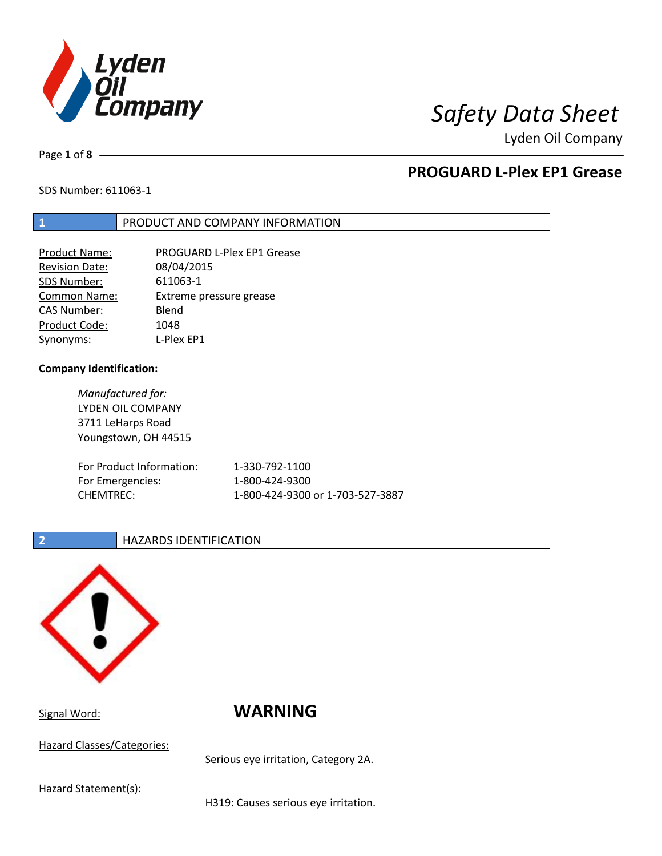

# *Safety Data Sheet*

Lyden Oil Company

Page **1** of **8**

## **PROGUARD L-Plex EP1 Grease**

## SDS Number: 611063-1

## **1** PRODUCT AND COMPANY INFORMATION

| <b>Product Name:</b> | PROGUARD L-Plex EP1 Grease |
|----------------------|----------------------------|
| Revision Date:       | 08/04/2015                 |
| SDS Number:          | 611063-1                   |
| <b>Common Name:</b>  | Extreme pressure grease    |
| <b>CAS Number:</b>   | Blend                      |
| Product Code:        | 1048                       |
| Synonyms:            | L-Plex EP1                 |

### **Company Identification:**

| Manufactured for:        |                                  |
|--------------------------|----------------------------------|
| LYDEN OIL COMPANY        |                                  |
| 3711 LeHarps Road        |                                  |
| Youngstown, OH 44515     |                                  |
| For Product Information: | 1-330-792-1100                   |
|                          | 1-800-424-9300                   |
| For Emergencies:         |                                  |
| <b>CHEMTREC:</b>         | 1-800-424-9300 or 1-703-527-3887 |

## **2 HAZARDS IDENTIFICATION**



Signal Word: **WARNING** 

Hazard Classes/Categories:

Serious eye irritation, Category 2A.

Hazard Statement(s):

H319: Causes serious eye irritation.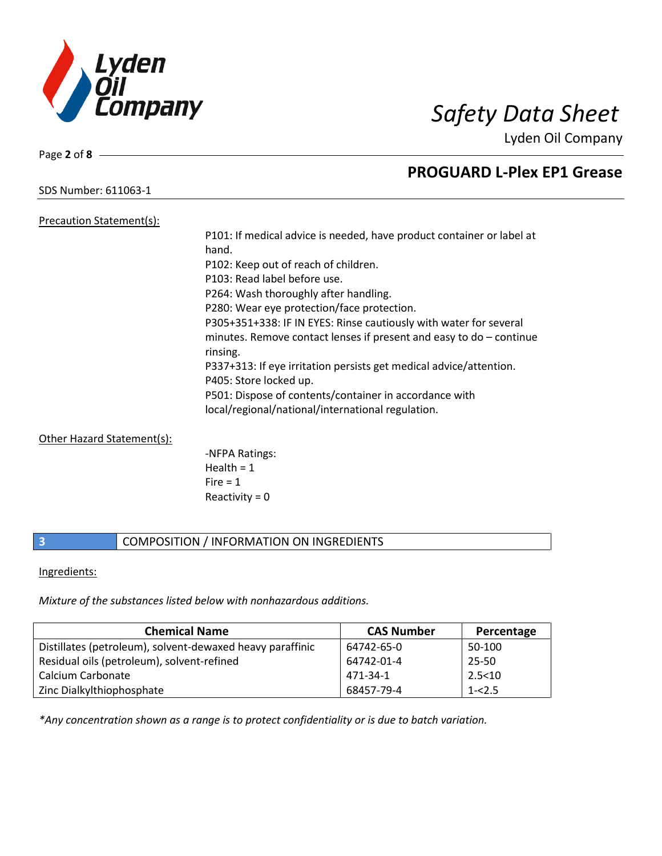

Lyden Oil Company

SDS Number: 611063-1

## Precaution Statement(s):

P101: If medical advice is needed, have product container or label at hand. P102: Keep out of reach of children. P103: Read label before use. P264: Wash thoroughly after handling. P280: Wear eye protection/face protection. P305+351+338: IF IN EYES: Rinse cautiously with water for several minutes. Remove contact lenses if present and easy to do – continue rinsing. P337+313: If eye irritation persists get medical advice/attention. P405: Store locked up. P501: Dispose of contents/container in accordance with local/regional/national/international regulation.

## Other Hazard Statement(s):

-NFPA Ratings: Health  $= 1$  $Fire = 1$ Reactivity  $= 0$ 

## **3** COMPOSITION / INFORMATION ON INGREDIENTS

## Ingredients:

*Mixture of the substances listed below with nonhazardous additions.*

| <b>Chemical Name</b>                                      | <b>CAS Number</b> | Percentage |
|-----------------------------------------------------------|-------------------|------------|
| Distillates (petroleum), solvent-dewaxed heavy paraffinic | 64742-65-0        | 50-100     |
| Residual oils (petroleum), solvent-refined                | 64742-01-4        | 25-50      |
| Calcium Carbonate                                         | 471-34-1          | 2.5 < 10   |
| Zinc Dialkylthiophosphate                                 | 68457-79-4        | $1 - 2.5$  |

*\*Any concentration shown as a range is to protect confidentiality or is due to batch variation.*

Page **2** of **8**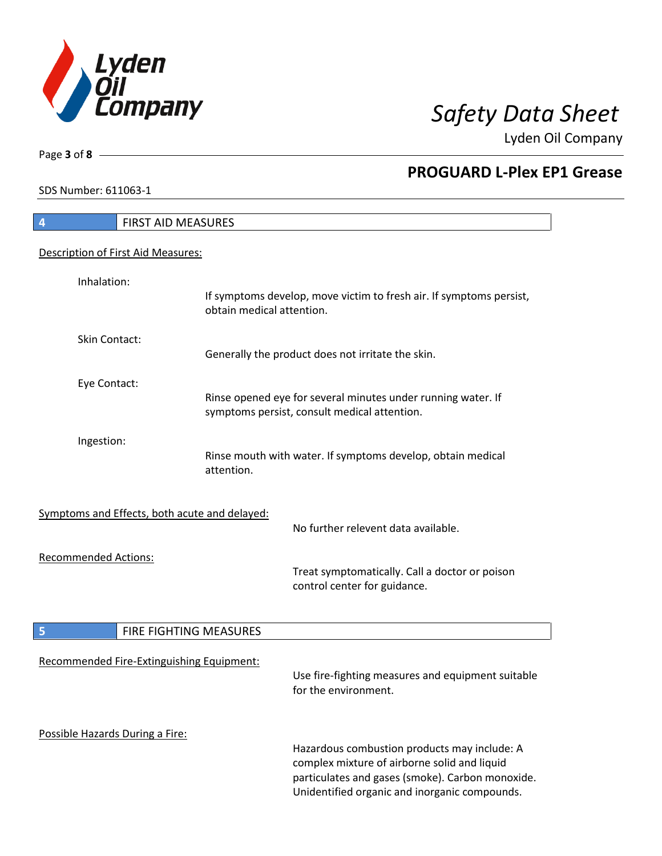

Lyden Oil Company

SDS Number: 611063-1

Page **3** of **8**

## **PROGUARD L-Plex EP1 Grease**

| <b>FIRST AID MEASURES</b><br>4                |                                                                                                                                                                                                   |  |
|-----------------------------------------------|---------------------------------------------------------------------------------------------------------------------------------------------------------------------------------------------------|--|
| Description of First Aid Measures:            |                                                                                                                                                                                                   |  |
| Inhalation:                                   | If symptoms develop, move victim to fresh air. If symptoms persist,<br>obtain medical attention.                                                                                                  |  |
| Skin Contact:                                 | Generally the product does not irritate the skin.                                                                                                                                                 |  |
| Eye Contact:                                  | Rinse opened eye for several minutes under running water. If<br>symptoms persist, consult medical attention.                                                                                      |  |
| Ingestion:                                    | Rinse mouth with water. If symptoms develop, obtain medical<br>attention.                                                                                                                         |  |
| Symptoms and Effects, both acute and delayed: | No further relevent data available.                                                                                                                                                               |  |
| <b>Recommended Actions:</b>                   | Treat symptomatically. Call a doctor or poison<br>control center for guidance.                                                                                                                    |  |
| 5<br>FIRE FIGHTING MEASURES                   |                                                                                                                                                                                                   |  |
| Recommended Fire-Extinguishing Equipment:     | Use fire-fighting measures and equipment suitable<br>for the environment.                                                                                                                         |  |
| Possible Hazards During a Fire:               | Hazardous combustion products may include: A<br>complex mixture of airborne solid and liquid<br>particulates and gases (smoke). Carbon monoxide.<br>Unidentified organic and inorganic compounds. |  |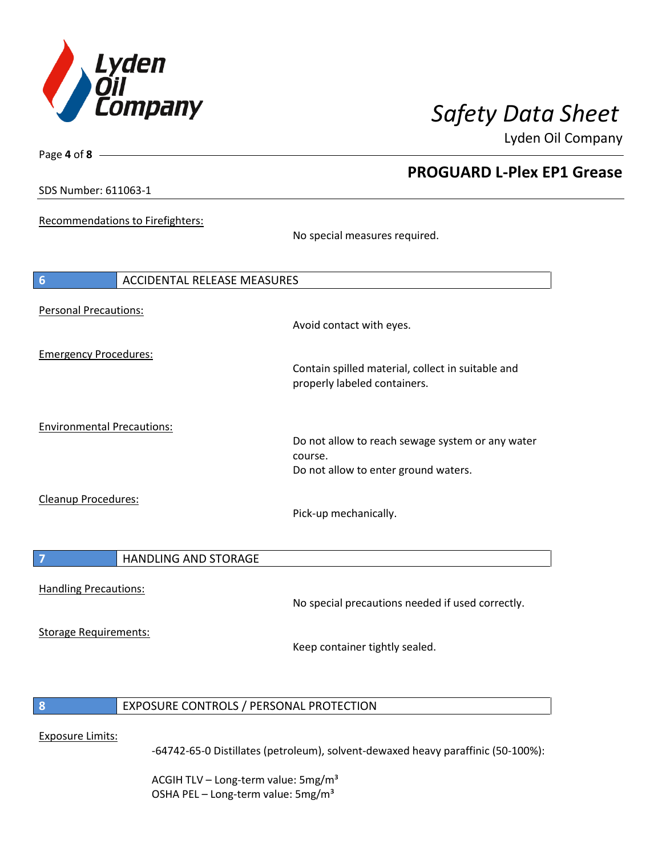

Lyden Oil Company

SDS Number: 611063-1

Page **4** of **8**

Recommendations to Firefighters:

No special measures required.

| <b>ACCIDENTAL RELEASE MEASURES</b><br>$6\phantom{1}6$ |                                                                                                     |
|-------------------------------------------------------|-----------------------------------------------------------------------------------------------------|
| Personal Precautions:                                 | Avoid contact with eyes.                                                                            |
| <b>Emergency Procedures:</b>                          | Contain spilled material, collect in suitable and<br>properly labeled containers.                   |
| <b>Environmental Precautions:</b>                     | Do not allow to reach sewage system or any water<br>course.<br>Do not allow to enter ground waters. |
| Cleanup Procedures:                                   | Pick-up mechanically.                                                                               |
| <b>HANDLING AND STORAGE</b><br>7                      |                                                                                                     |
| <b>Handling Precautions:</b>                          | No special precautions needed if used correctly.                                                    |
| <b>Storage Requirements:</b>                          |                                                                                                     |

Keep container tightly sealed.

**8** EXPOSURE CONTROLS / PERSONAL PROTECTION

### Exposure Limits:

-64742-65-0 Distillates (petroleum), solvent-dewaxed heavy paraffinic (50-100%):

ACGIH TLV - Long-term value: 5mg/m<sup>3</sup> OSHA PEL - Long-term value: 5mg/m<sup>3</sup>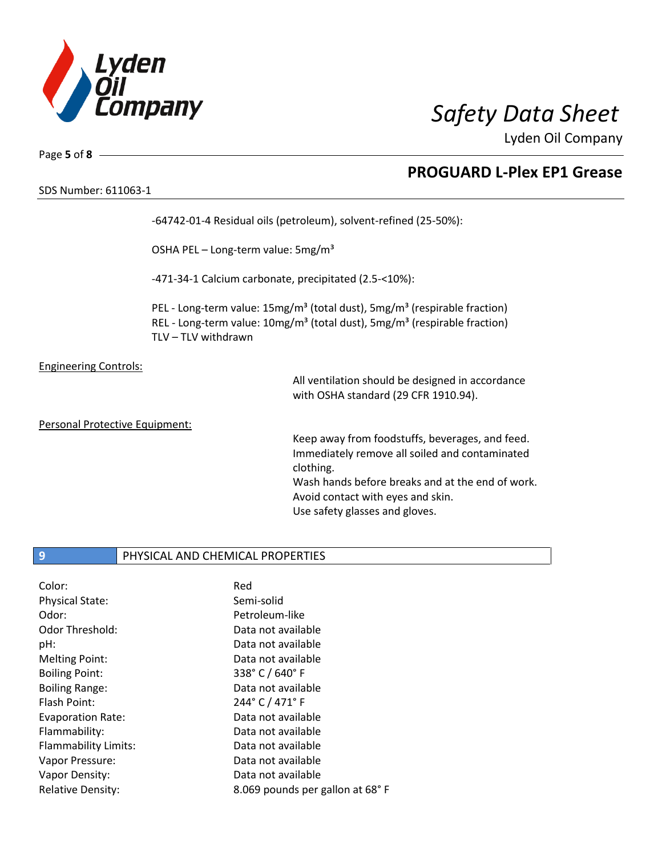

Lyden Oil Company

SDS Number: 611063-1

Page **5** of **8**

## **PROGUARD L-Plex EP1 Grease**

-64742-01-4 Residual oils (petroleum), solvent-refined (25-50%):

OSHA PEL - Long-term value: 5mg/m<sup>3</sup>

-471-34-1 Calcium carbonate, precipitated (2.5-<10%):

PEL - Long-term value: 15mg/m<sup>3</sup> (total dust), 5mg/m<sup>3</sup> (respirable fraction) REL - Long-term value: 10mg/m<sup>3</sup> (total dust), 5mg/m<sup>3</sup> (respirable fraction) TLV – TLV withdrawn

Engineering Controls:

All ventilation should be designed in accordance with OSHA standard (29 CFR 1910.94).

Personal Protective Equipment:

Keep away from foodstuffs, beverages, and feed. Immediately remove all soiled and contaminated clothing. Wash hands before breaks and at the end of work.

Avoid contact with eyes and skin. Use safety glasses and gloves.

## **9** PHYSICAL AND CHEMICAL PROPERTIES

| Red                             |
|---------------------------------|
| Semi-solid                      |
| Petroleum-like                  |
| Data not available              |
| Data not available              |
| Data not available              |
| 338° C / 640° F                 |
| Data not available              |
| 244° C / 471° F                 |
| Data not available              |
| Data not available              |
| Data not available              |
| Data not available              |
| Data not available              |
| 8.069 pounds per gallon at 68°F |
|                                 |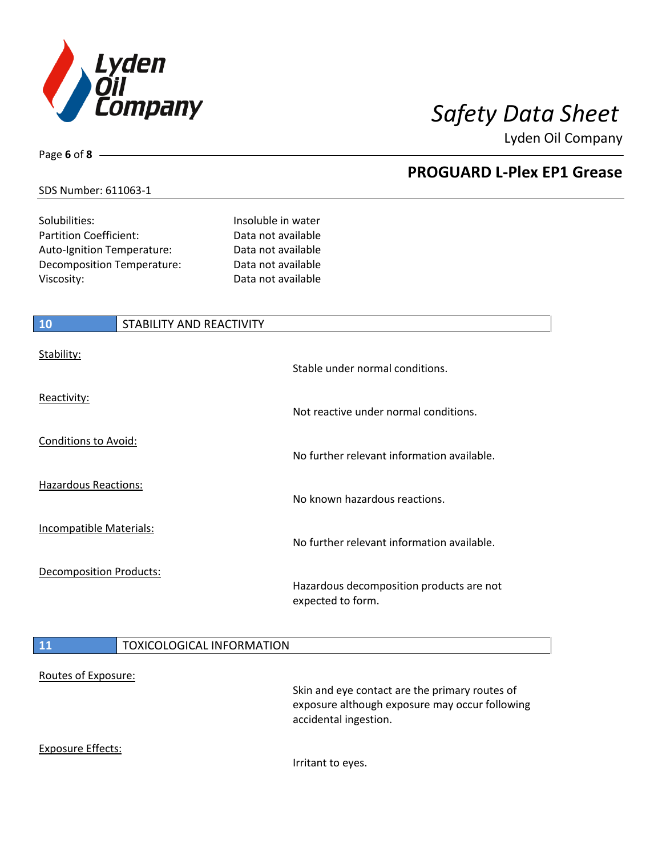

Lyden Oil Company

## SDS Number: 611063-1

Page **6** of **8**

| Solubilities:                     | Insoluble in water |
|-----------------------------------|--------------------|
| Partition Coefficient:            | Data not available |
| <b>Auto-Ignition Temperature:</b> | Data not available |
| Decomposition Temperature:        | Data not available |
| Viscosity:                        | Data not available |

| 10                             | STABILITY AND REACTIVITY |                                                               |
|--------------------------------|--------------------------|---------------------------------------------------------------|
| Stability:                     |                          | Stable under normal conditions.                               |
| Reactivity:                    |                          | Not reactive under normal conditions.                         |
| <b>Conditions to Avoid:</b>    |                          | No further relevant information available.                    |
| <b>Hazardous Reactions:</b>    |                          | No known hazardous reactions.                                 |
| <b>Incompatible Materials:</b> |                          | No further relevant information available.                    |
| <b>Decomposition Products:</b> |                          | Hazardous decomposition products are not<br>expected to form. |
|                                |                          |                                                               |

## **11** TOXICOLOGICAL INFORMATION

### Routes of Exposure:

Skin and eye contact are the primary routes of exposure although exposure may occur following accidental ingestion.

## Exposure Effects:

Irritant to eyes.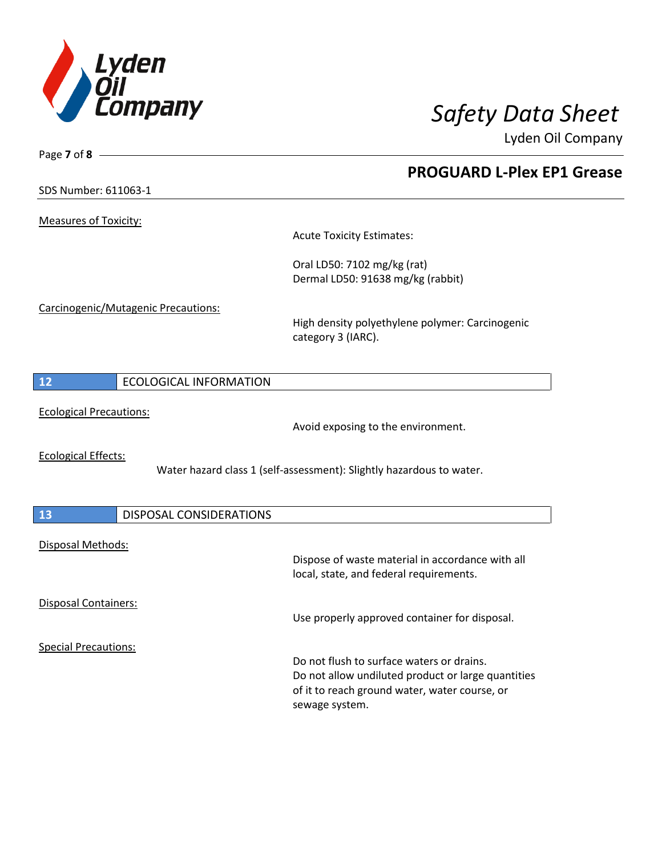

Lyden Oil Company

SDS Number: 611063-1

Page **7** of **8**

Measures of Toxicity:

Acute Toxicity Estimates:

Oral LD50: 7102 mg/kg (rat) Dermal LD50: 91638 mg/kg (rabbit)

Carcinogenic/Mutagenic Precautions:

High density polyethylene polymer: Carcinogenic category 3 (IARC).

| $-11$ | <b>ECOLOGICAL INFORMATION</b> |
|-------|-------------------------------|
|       |                               |

Ecological Precautions:

Avoid exposing to the environment.

Ecological Effects:

Water hazard class 1 (self-assessment): Slightly hazardous to water.

| 13                          | <b>DISPOSAL CONSIDERATIONS</b> |                                                                                                                       |
|-----------------------------|--------------------------------|-----------------------------------------------------------------------------------------------------------------------|
| Disposal Methods:           |                                |                                                                                                                       |
|                             |                                | Dispose of waste material in accordance with all<br>local, state, and federal requirements.                           |
| <b>Disposal Containers:</b> |                                | Use properly approved container for disposal.                                                                         |
| <b>Special Precautions:</b> |                                |                                                                                                                       |
|                             |                                | Do not flush to surface waters or drains.                                                                             |
|                             |                                | Do not allow undiluted product or large quantities<br>of it to reach ground water, water course, or<br>sewage system. |